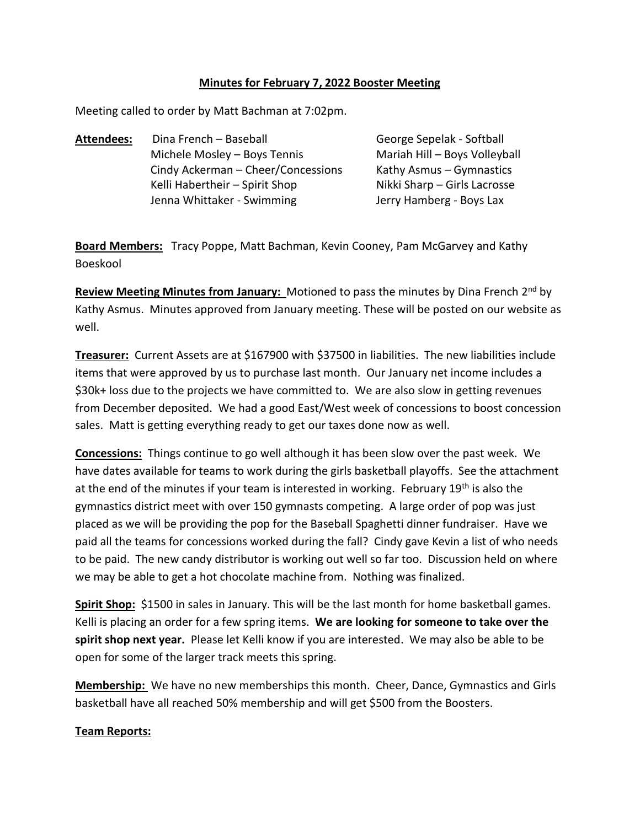#### **Minutes for February 7, 2022 Booster Meeting**

Volleyball

Meeting called to order by Matt Bachman at 7:02pm.

| Dina French - Baseball             | George Sepelak - Softball    |  |
|------------------------------------|------------------------------|--|
| Michele Mosley - Boys Tennis       | Mariah Hill - Boys Volleyba  |  |
| Cindy Ackerman - Cheer/Concessions | Kathy Asmus – Gymnastics     |  |
| Kelli Habertheir – Spirit Shop     | Nikki Sharp - Girls Lacrosse |  |
| Jenna Whittaker - Swimming         | Jerry Hamberg - Boys Lax     |  |
|                                    |                              |  |

**Board Members:** Tracy Poppe, Matt Bachman, Kevin Cooney, Pam McGarvey and Kathy Boeskool

Review Meeting Minutes from January: Motioned to pass the minutes by Dina French 2<sup>nd</sup> by Kathy Asmus. Minutes approved from January meeting. These will be posted on our website as well.

**Treasurer:** Current Assets are at \$167900 with \$37500 in liabilities. The new liabilities include items that were approved by us to purchase last month. Our January net income includes a \$30k+ loss due to the projects we have committed to. We are also slow in getting revenues from December deposited. We had a good East/West week of concessions to boost concession sales. Matt is getting everything ready to get our taxes done now as well.

**Concessions:** Things continue to go well although it has been slow over the past week. We have dates available for teams to work during the girls basketball playoffs. See the attachment at the end of the minutes if your team is interested in working. February 19<sup>th</sup> is also the gymnastics district meet with over 150 gymnasts competing. A large order of pop was just placed as we will be providing the pop for the Baseball Spaghetti dinner fundraiser. Have we paid all the teams for concessions worked during the fall? Cindy gave Kevin a list of who needs to be paid. The new candy distributor is working out well so far too. Discussion held on where we may be able to get a hot chocolate machine from. Nothing was finalized.

**Spirit Shop:** \$1500 in sales in January. This will be the last month for home basketball games. Kelli is placing an order for a few spring items. **We are looking for someone to take over the spirit shop next year.** Please let Kelli know if you are interested. We may also be able to be open for some of the larger track meets this spring.

**Membership:** We have no new memberships this month. Cheer, Dance, Gymnastics and Girls basketball have all reached 50% membership and will get \$500 from the Boosters.

#### **Team Reports:**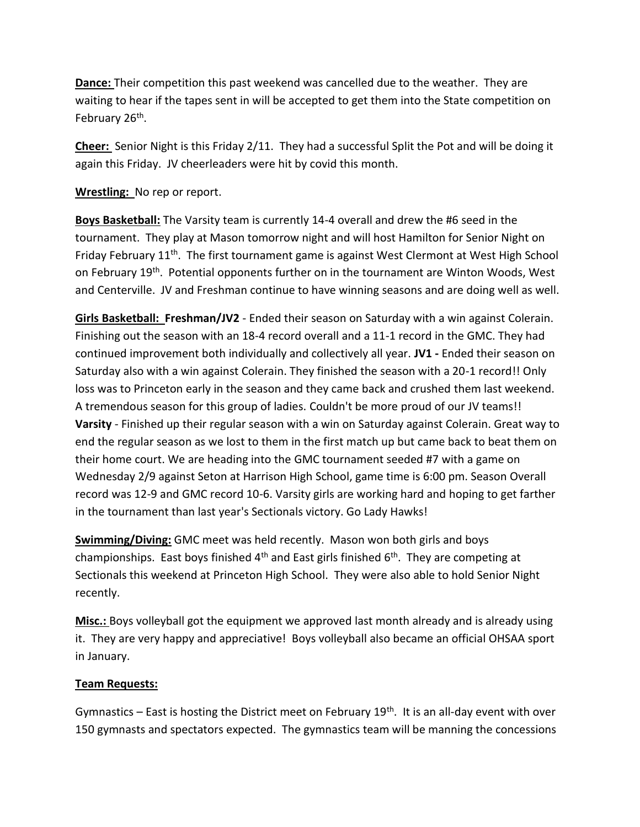**Dance:** Their competition this past weekend was cancelled due to the weather. They are waiting to hear if the tapes sent in will be accepted to get them into the State competition on February 26<sup>th</sup>.

**Cheer:** Senior Night is this Friday 2/11. They had a successful Split the Pot and will be doing it again this Friday. JV cheerleaders were hit by covid this month.

## **Wrestling:** No rep or report.

**Boys Basketball:** The Varsity team is currently 14-4 overall and drew the #6 seed in the tournament. They play at Mason tomorrow night and will host Hamilton for Senior Night on Friday February 11<sup>th</sup>. The first tournament game is against West Clermont at West High School on February 19th. Potential opponents further on in the tournament are Winton Woods, West and Centerville. JV and Freshman continue to have winning seasons and are doing well as well.

**Girls Basketball: Freshman/JV2** - Ended their season on Saturday with a win against Colerain. Finishing out the season with an 18-4 record overall and a 11-1 record in the GMC. They had continued improvement both individually and collectively all year. **JV1 -** Ended their season on Saturday also with a win against Colerain. They finished the season with a 20-1 record!! Only loss was to Princeton early in the season and they came back and crushed them last weekend. A tremendous season for this group of ladies. Couldn't be more proud of our JV teams!! **Varsity** - Finished up their regular season with a win on Saturday against Colerain. Great way to end the regular season as we lost to them in the first match up but came back to beat them on their home court. We are heading into the GMC tournament seeded #7 with a game on Wednesday 2/9 against Seton at Harrison High School, game time is 6:00 pm. Season Overall record was 12-9 and GMC record 10-6. Varsity girls are working hard and hoping to get farther in the tournament than last year's Sectionals victory. Go Lady Hawks!

**Swimming/Diving:** GMC meet was held recently. Mason won both girls and boys championships. East boys finished  $4<sup>th</sup>$  and East girls finished  $6<sup>th</sup>$ . They are competing at Sectionals this weekend at Princeton High School. They were also able to hold Senior Night recently.

**Misc.:** Boys volleyball got the equipment we approved last month already and is already using it. They are very happy and appreciative! Boys volleyball also became an official OHSAA sport in January.

## **Team Requests:**

Gymnastics – East is hosting the District meet on February 19<sup>th</sup>. It is an all-day event with over 150 gymnasts and spectators expected. The gymnastics team will be manning the concessions